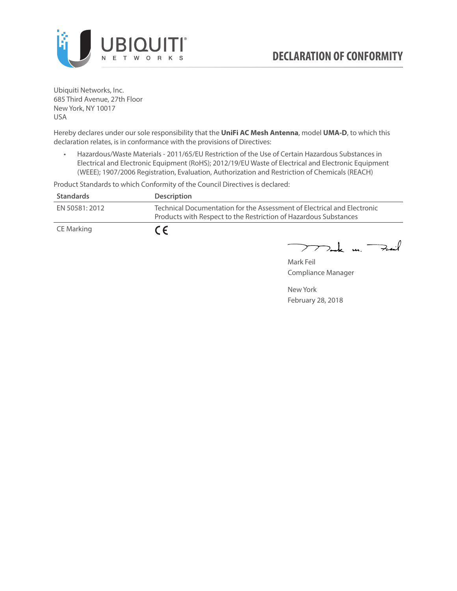

Ubiquiti Networks, Inc. 685 Third Avenue, 27th Floor New York, NY 10017 USA

Hereby declares under our sole responsibility that the **UniFi AC Mesh Antenna**, model **UMA-D**, to which this declaration relates, is in conformance with the provisions of Directives:

• Hazardous/Waste Materials - 2011/65/EU Restriction of the Use of Certain Hazardous Substances in Electrical and Electronic Equipment (RoHS); 2012/19/EU Waste of Electrical and Electronic Equipment (WEEE); 1907/2006 Registration, Evaluation, Authorization and Restriction of Chemicals (REACH)

Product Standards to which Conformity of the Council Directives is declared:

| <b>Standards</b> | <b>Description</b>                                                                                                                          |
|------------------|---------------------------------------------------------------------------------------------------------------------------------------------|
| EN 50581: 2012   | Technical Documentation for the Assessment of Electrical and Electronic<br>Products with Respect to the Restriction of Hazardous Substances |
| CE Marking       | $\epsilon$                                                                                                                                  |

 $\nabla$ ork un  $\rightarrow$  $\overline{\phantom{1}}$ 

Mark Feil Compliance Manager

New York February 28, 2018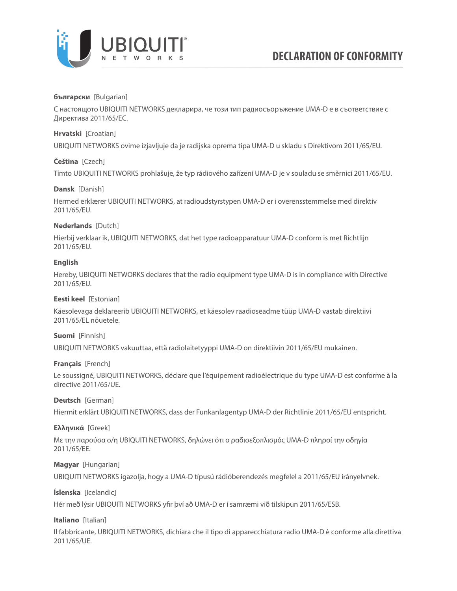

### **български** [Bulgarian]

С настоящото UBIQUITI NETWORKS декларира, че този тип радиосъоръжение UMA-D е в съответствие с Директива 2011/65/ЕС.

### **Hrvatski** [Croatian]

UBIQUITI NETWORKS ovime izjavljuje da je radijska oprema tipa UMA-D u skladu s Direktivom 2011/65/ЕU.

# **Čeština** [Czech]

Tímto UBIQUITI NETWORKS prohlašuje, že typ rádiového zařízení UMA-D je v souladu se směrnicí 2011/65/ЕU.

# **Dansk** [Danish]

Hermed erklærer UBIQUITI NETWORKS, at radioudstyrstypen UMA-D er i overensstemmelse med direktiv 2011/65/ЕU.

# **Nederlands** [Dutch]

Hierbij verklaar ik, UBIQUITI NETWORKS, dat het type radioapparatuur UMA-D conform is met Richtlijn 2011/65/ЕU.

# **English**

Hereby, UBIQUITI NETWORKS declares that the radio equipment type UMA-D is in compliance with Directive 2011/65/ЕU.

### **Eesti keel** [Estonian]

Käesolevaga deklareerib UBIQUITI NETWORKS, et käesolev raadioseadme tüüp UMA-D vastab direktiivi 2011/65/EL nõuetele.

### **Suomi** [Finnish]

UBIQUITI NETWORKS vakuuttaa, että radiolaitetyyppi UMA-D on direktiivin 2011/65/EU mukainen.

### **Français** [French]

Le soussigné, UBIQUITI NETWORKS, déclare que l'équipement radioélectrique du type UMA-D est conforme à la directive 2011/65/UE.

### **Deutsch** [German]

Hiermit erklärt UBIQUITI NETWORKS, dass der Funkanlagentyp UMA-D der Richtlinie 2011/65/EU entspricht.

### **Ελληνικά** [Greek]

Με την παρούσα ο/η UBIQUITI NETWORKS, δηλώνει ότι ο ραδιοεξοπλισμός UMA-D πληροί την οδηγία 2011/65/EE.

### **Magyar** [Hungarian]

UBIQUITI NETWORKS igazolja, hogy a UMA-D típusú rádióberendezés megfelel a 2011/65/EU irányelvnek.

# **Íslenska** [Icelandic]

Hér með lýsir UBIQUITI NETWORKS yfir því að UMA-D er í samræmi við tilskipun 2011/65/ESB.

### **Italiano** [Italian]

Il fabbricante, UBIQUITI NETWORKS, dichiara che il tipo di apparecchiatura radio UMA-D è conforme alla direttiva 2011/65/UE.